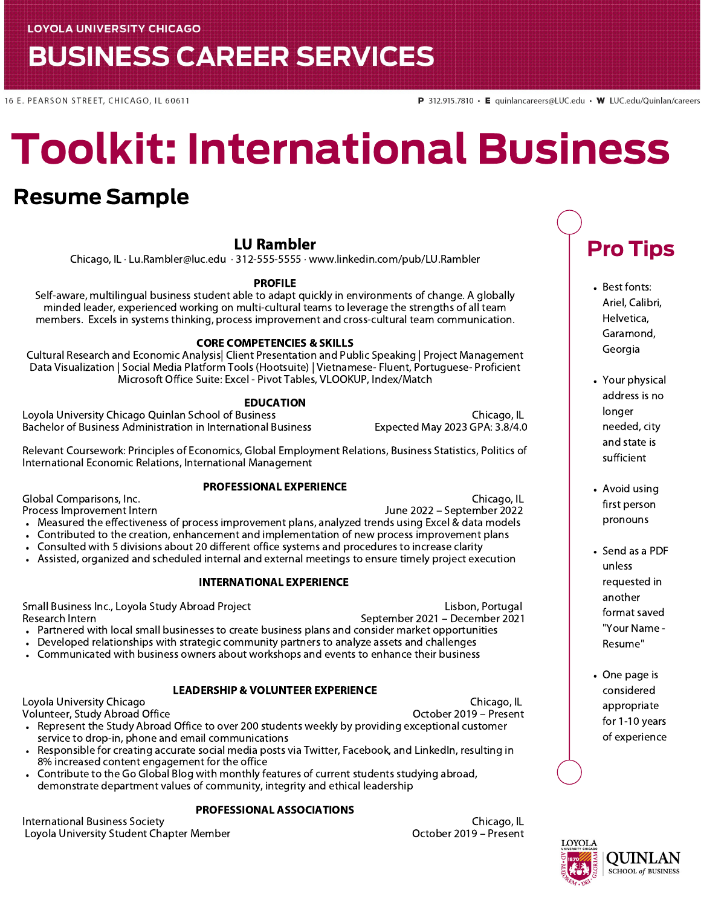## **BUSINESS CAREER SERVICES**

16 E. PEARSON STREET, CHICAGO, IL 60611

# Toolkit: International Business

### Resume Sample

#### LU Rambler

Chicago, IL · Lu.Rambler@luc.edu · 312-555-5555 · www.linkedin.com/pub/LU.Rambler

#### PROFILE

Self-aware, multilingual business student able to adapt quickly in environments of change. A globally minded leader, experienced working on multi-cultural teams to leverage the strengths of all team members. Excels in systems thinking, process improvement and cross-cultural team communication.

#### CORE COMPETENCIES & SKILLS

Cultural Research and Economic Analysis| Client Presentation and Public Speaking | Project Management Data Visualization | Social Media Platform Tools (Hootsuite) | Vietnamese- Fluent, Portuguese- Proficient Microsoft Office Suite: Excel - Pivot Tables, VLOOKUP, Index/Match

#### EDUCATION

Loyola University Chicago Quinlan School of Business Chicago, IL Bachelor of Business Administration in International Business Expected May 2023 GPA: 3.8/4.0

Relevant Coursework: Principles of Economics, Global Employment Relations, Business Statistics, Politics of International Economic Relations, International Management

#### PROFESSIONAL EXPERIENCE

Global Comparisons, Inc. Chicago, IL

Process Improvement Intern June 2022 – September 2022

- Measured the effectiveness of process improvement plans, analyzed trends using Excel & data models
- Contributed to the creation, enhancement and implementation of new process improvement plans  $\bullet$
- Consulted with 5 divisions about 20 different office systems and procedures to increase clarity
- Assisted, organized and scheduled internal and external meetings to ensure timely project execution

#### INTERNATIONAL EXPERIENCE

Partnered with local small businesses to create business plans and consider market opportunities Small Business Inc., Loyola Study Abroad Project **Licholary Constructs** Lisbon, Portugal Research Intern September 2021 – December 2021 – December 2021 – September 2021 – December 2021

- Developed relationships with strategic community partners to analyze assets and challenges
- Communicated with business owners about workshops and events to enhance their business

#### LEADERSHIP & VOLUNTEER EXPERIENCE

Loyola University Chicago Chicago, IL

Volunteer, Study Abroad Office

Represent the Study Abroad Office to over 200 students weekly by providing exceptional customer service to drop-in, phone and email communications

- Responsible for creating accurate social media posts via Twitter, Facebook, and LinkedIn, resulting in 8% increased content engagement for the office
- Contribute to the Go Global Blog with monthly features of current students studying abroad, demonstrate department values of community, integrity and ethical leadership

#### PROFESSIONAL ASSOCIATIONS

International Business Society Chicago, IL Loyola University Student Chapter Member October 2019 – Present

## Pro Tips

- Best fonts: Ariel, Calibri, Helvetica, Garamond, Georgia
- Your physical address is no longer needed, city and state is sufficient
- Avoid using first person pronouns
- Send as a PDF unless requested in another format saved "Your Name - Resume"
- One page is considered appropriate for 1-10 years of experience